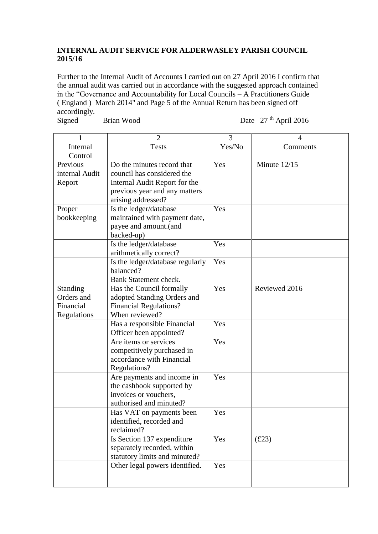## **INTERNAL AUDIT SERVICE FOR ALDERWASLEY PARISH COUNCIL 2015/16**

Further to the Internal Audit of Accounts I carried out on 27 April 2016 I confirm that the annual audit was carried out in accordance with the suggested approach contained in the "Governance and Accountability for Local Councils – A Practitioners Guide ( England ) March 2014" and Page 5 of the Annual Return has been signed off accordingly.

Signed Brian Wood

Date 27<sup>th</sup> April 2016

| 1              | $\overline{2}$                   | 3      | 4             |
|----------------|----------------------------------|--------|---------------|
|                |                                  |        |               |
| Internal       | <b>Tests</b>                     | Yes/No | Comments      |
| Control        |                                  |        |               |
| Previous       | Do the minutes record that       | Yes    | Minute 12/15  |
| internal Audit | council has considered the       |        |               |
| Report         | Internal Audit Report for the    |        |               |
|                | previous year and any matters    |        |               |
|                | arising addressed?               |        |               |
| Proper         | Is the ledger/database           | Yes    |               |
| bookkeeping    | maintained with payment date,    |        |               |
|                | payee and amount.(and            |        |               |
|                | backed-up)                       |        |               |
|                | Is the ledger/database           | Yes    |               |
|                | arithmetically correct?          |        |               |
|                | Is the ledger/database regularly | Yes    |               |
|                | balanced?                        |        |               |
|                | Bank Statement check.            |        |               |
| Standing       | Has the Council formally         | Yes    | Reviewed 2016 |
| Orders and     | adopted Standing Orders and      |        |               |
| Financial      | <b>Financial Regulations?</b>    |        |               |
| Regulations    | When reviewed?                   |        |               |
|                | Has a responsible Financial      | Yes    |               |
|                | Officer been appointed?          |        |               |
|                | Are items or services            | Yes    |               |
|                | competitively purchased in       |        |               |
|                | accordance with Financial        |        |               |
|                | Regulations?                     |        |               |
|                | Are payments and income in       | Yes    |               |
|                | the cashbook supported by        |        |               |
|                | invoices or vouchers,            |        |               |
|                | authorised and minuted?          |        |               |
|                | Has VAT on payments been         | Yes    |               |
|                | identified, recorded and         |        |               |
|                | reclaimed?                       |        |               |
|                | Is Section 137 expenditure       | Yes    | (E23)         |
|                | separately recorded, within      |        |               |
|                | statutory limits and minuted?    |        |               |
|                | Other legal powers identified.   | Yes    |               |
|                |                                  |        |               |
|                |                                  |        |               |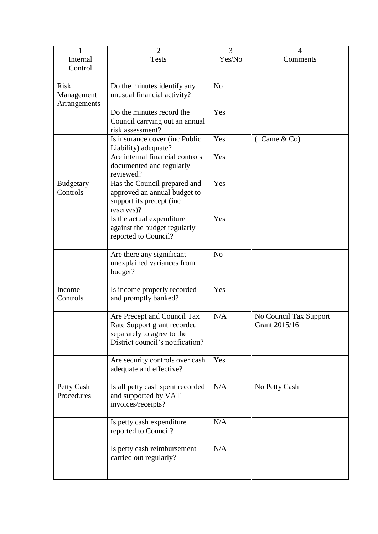|                                           | $\overline{2}$                                                                                                               | 3              | 4                                       |
|-------------------------------------------|------------------------------------------------------------------------------------------------------------------------------|----------------|-----------------------------------------|
| Internal<br>Control                       | <b>Tests</b>                                                                                                                 | Yes/No         | Comments                                |
| <b>Risk</b><br>Management<br>Arrangements | Do the minutes identify any<br>unusual financial activity?                                                                   | N <sub>0</sub> |                                         |
|                                           | Do the minutes record the<br>Council carrying out an annual<br>risk assessment?                                              | Yes            |                                         |
|                                           | Is insurance cover (inc Public<br>Liability) adequate?                                                                       | Yes            | (Came & Co)                             |
|                                           | Are internal financial controls<br>documented and regularly<br>reviewed?                                                     | Yes            |                                         |
| <b>Budgetary</b><br>Controls              | Has the Council prepared and<br>approved an annual budget to<br>support its precept (inc<br>reserves)?                       | Yes            |                                         |
|                                           | Is the actual expenditure<br>against the budget regularly<br>reported to Council?                                            | Yes            |                                         |
|                                           | Are there any significant<br>unexplained variances from<br>budget?                                                           | N <sub>0</sub> |                                         |
| Income<br>Controls                        | Is income properly recorded<br>and promptly banked?                                                                          | Yes            |                                         |
|                                           | Are Precept and Council Tax<br>Rate Support grant recorded<br>separately to agree to the<br>District council's notification? | N/A            | No Council Tax Support<br>Grant 2015/16 |
|                                           | Are security controls over cash<br>adequate and effective?                                                                   | Yes            |                                         |
| Petty Cash<br>Procedures                  | Is all petty cash spent recorded<br>and supported by VAT<br>invoices/receipts?                                               | N/A            | No Petty Cash                           |
|                                           | Is petty cash expenditure<br>reported to Council?                                                                            | N/A            |                                         |
|                                           | Is petty cash reimbursement<br>carried out regularly?                                                                        | N/A            |                                         |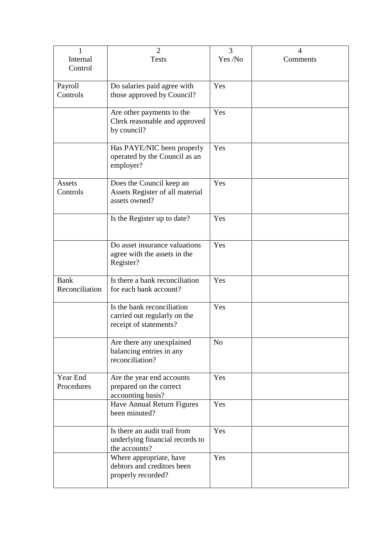| 1              | $\overline{2}$                                   | 3              | 4        |
|----------------|--------------------------------------------------|----------------|----------|
| Internal       | <b>Tests</b>                                     | Yes /No        | Comments |
| Control        |                                                  |                |          |
| Payroll        | Do salaries paid agree with                      | Yes            |          |
| Controls       | those approved by Council?                       |                |          |
|                |                                                  |                |          |
|                | Are other payments to the                        | Yes            |          |
|                | Clerk reasonable and approved                    |                |          |
|                | by council?                                      |                |          |
|                | Has PAYE/NIC been properly                       | Yes            |          |
|                | operated by the Council as an                    |                |          |
|                | employer?                                        |                |          |
|                |                                                  |                |          |
| <b>Assets</b>  | Does the Council keep an                         | Yes            |          |
| Controls       | Assets Register of all material                  |                |          |
|                | assets owned?                                    |                |          |
|                | Is the Register up to date?                      | Yes            |          |
|                |                                                  |                |          |
|                |                                                  |                |          |
|                | Do asset insurance valuations                    | Yes            |          |
|                | agree with the assets in the                     |                |          |
|                | Register?                                        |                |          |
| Bank           | Is there a bank reconciliation                   | Yes            |          |
| Reconciliation | for each bank account?                           |                |          |
|                |                                                  |                |          |
|                | Is the bank reconciliation                       | Yes            |          |
|                | carried out regularly on the                     |                |          |
|                | receipt of statements?                           |                |          |
|                | Are there any unexplained                        | N <sub>o</sub> |          |
|                | balancing entries in any                         |                |          |
|                | reconciliation?                                  |                |          |
|                |                                                  |                |          |
| Year End       | Are the year end accounts                        | Yes            |          |
| Procedures     | prepared on the correct                          |                |          |
|                | accounting basis?<br>Have Annual Return Figures  | Yes            |          |
|                | been minuted?                                    |                |          |
|                |                                                  |                |          |
|                | Is there an audit trail from                     | Yes            |          |
|                | underlying financial records to                  |                |          |
|                | the accounts?                                    |                |          |
|                | Where appropriate, have                          | Yes            |          |
|                | debtors and creditors been<br>properly recorded? |                |          |
|                |                                                  |                |          |